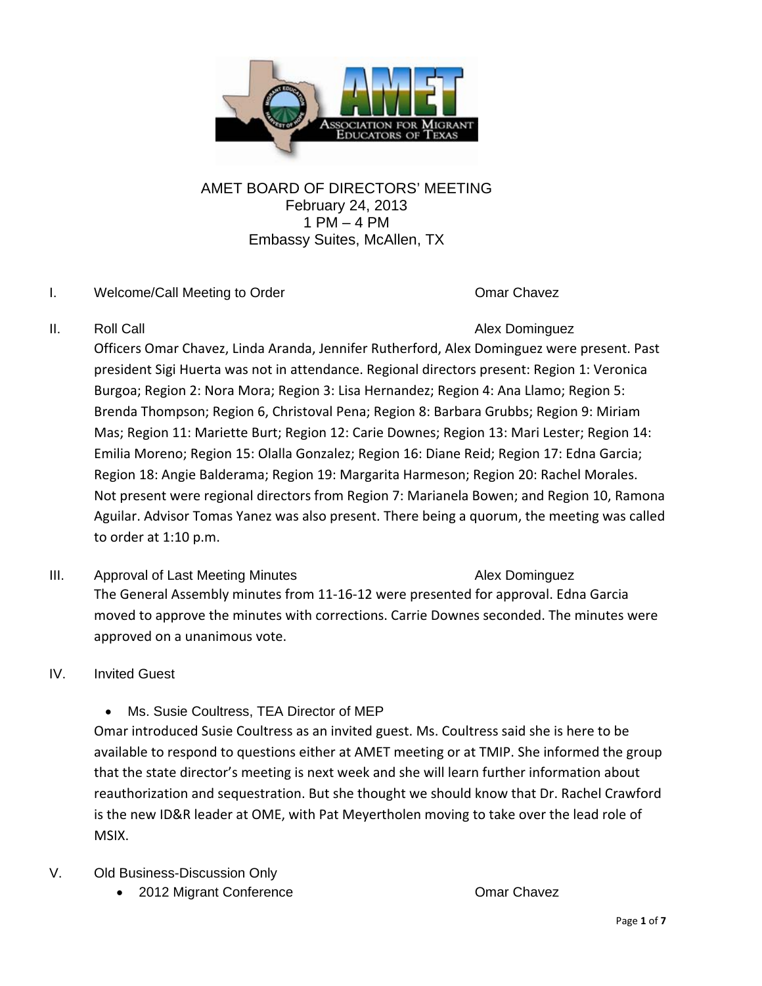

# AMET BOARD OF DIRECTORS' MEETING February 24, 2013 1 PM – 4 PM Embassy Suites, McAllen, TX

## I. Welcome/Call Meeting to Order Chavez Comar Chavez

II. Roll Call **Alex Dominguez Alex Dominguez** 

Officers Omar Chavez, Linda Aranda, Jennifer Rutherford, Alex Dominguez were present. Past president Sigi Huerta was not in attendance. Regional directors present: Region 1: Veronica Burgoa; Region 2: Nora Mora; Region 3: Lisa Hernandez; Region 4: Ana Llamo; Region 5: Brenda Thompson; Region 6, Christoval Pena; Region 8: Barbara Grubbs; Region 9: Miriam Mas; Region 11: Mariette Burt; Region 12: Carie Downes; Region 13: Mari Lester; Region 14: Emilia Moreno; Region 15: Olalla Gonzalez; Region 16: Diane Reid; Region 17: Edna Garcia; Region 18: Angie Balderama; Region 19: Margarita Harmeson; Region 20: Rachel Morales. Not present were regional directors from Region 7: Marianela Bowen; and Region 10, Ramona Aguilar. Advisor Tomas Yanez was also present. There being a quorum, the meeting was called to order at 1:10 p.m.

- III. Approval of Last Meeting Minutes **Alex Dominguez** Alex Dominguez The General Assembly minutes from 11‐16‐12 were presented for approval. Edna Garcia moved to approve the minutes with corrections. Carrie Downes seconded. The minutes were approved on a unanimous vote.
- IV. Invited Guest
	- Ms. Susie Coultress, TEA Director of MEP

Omar introduced Susie Coultress as an invited guest. Ms. Coultress said she is here to be available to respond to questions either at AMET meeting or at TMIP. She informed the group that the state director's meeting is next week and she will learn further information about reauthorization and sequestration. But she thought we should know that Dr. Rachel Crawford is the new ID&R leader at OME, with Pat Meyertholen moving to take over the lead role of MSIX.

- V. Old Business-Discussion Only
	- 2012 Migrant Conference **Omar Chavez**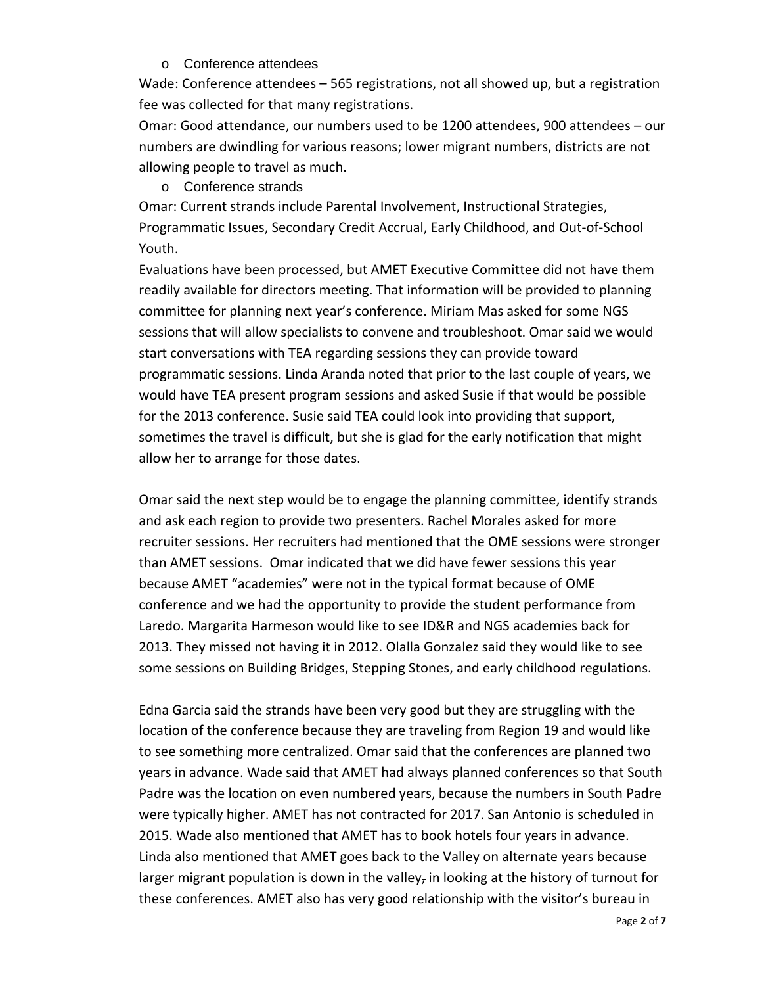#### o Conference attendees

Wade: Conference attendees – 565 registrations, not all showed up, but a registration fee was collected for that many registrations.

Omar: Good attendance, our numbers used to be 1200 attendees, 900 attendees – our numbers are dwindling for various reasons; lower migrant numbers, districts are not allowing people to travel as much.

o Conference strands

Omar: Current strands include Parental Involvement, Instructional Strategies, Programmatic Issues, Secondary Credit Accrual, Early Childhood, and Out‐of‐School Youth.

Evaluations have been processed, but AMET Executive Committee did not have them readily available for directors meeting. That information will be provided to planning committee for planning next year's conference. Miriam Mas asked for some NGS sessions that will allow specialists to convene and troubleshoot. Omar said we would start conversations with TEA regarding sessions they can provide toward programmatic sessions. Linda Aranda noted that prior to the last couple of years, we would have TEA present program sessions and asked Susie if that would be possible for the 2013 conference. Susie said TEA could look into providing that support, sometimes the travel is difficult, but she is glad for the early notification that might allow her to arrange for those dates.

Omar said the next step would be to engage the planning committee, identify strands and ask each region to provide two presenters. Rachel Morales asked for more recruiter sessions. Her recruiters had mentioned that the OME sessions were stronger than AMET sessions. Omar indicated that we did have fewer sessions this year because AMET "academies" were not in the typical format because of OME conference and we had the opportunity to provide the student performance from Laredo. Margarita Harmeson would like to see ID&R and NGS academies back for 2013. They missed not having it in 2012. Olalla Gonzalez said they would like to see some sessions on Building Bridges, Stepping Stones, and early childhood regulations.

Edna Garcia said the strands have been very good but they are struggling with the location of the conference because they are traveling from Region 19 and would like to see something more centralized. Omar said that the conferences are planned two years in advance. Wade said that AMET had always planned conferences so that South Padre was the location on even numbered years, because the numbers in South Padre were typically higher. AMET has not contracted for 2017. San Antonio is scheduled in 2015. Wade also mentioned that AMET has to book hotels four years in advance. Linda also mentioned that AMET goes back to the Valley on alternate years because larger migrant population is down in the valley, in looking at the history of turnout for these conferences. AMET also has very good relationship with the visitor's bureau in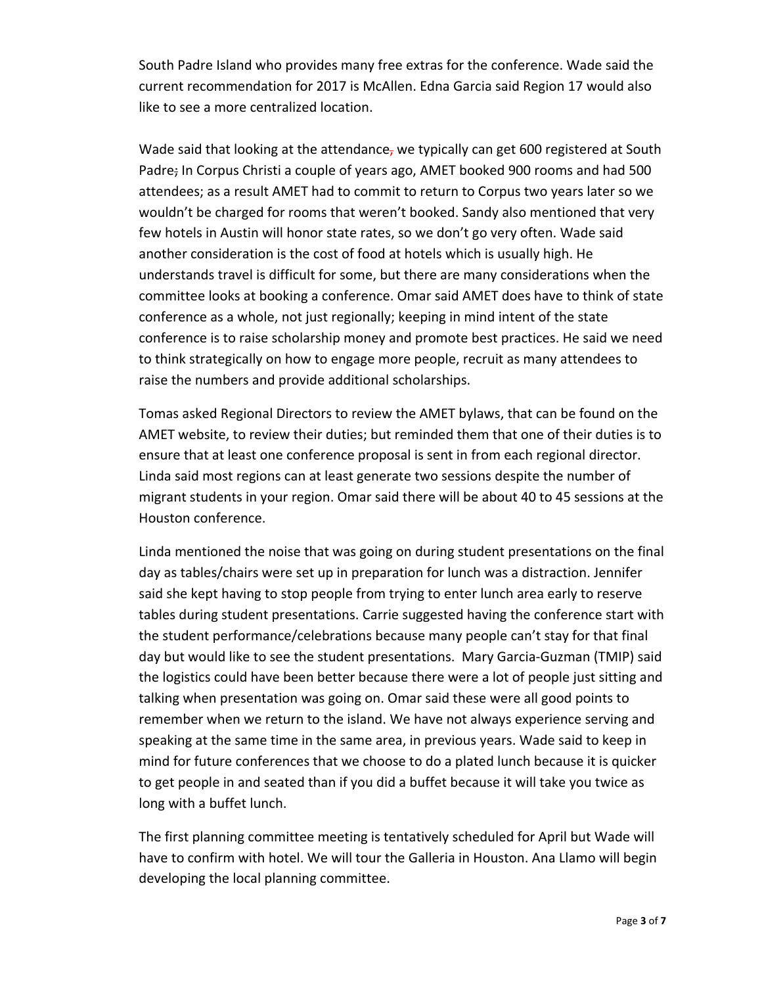South Padre Island who provides many free extras for the conference. Wade said the current recommendation for 2017 is McAllen. Edna Garcia said Region 17 would also like to see a more centralized location.

Wade said that looking at the attendance, we typically can get 600 registered at South Padre; In Corpus Christi a couple of years ago, AMET booked 900 rooms and had 500 attendees; as a result AMET had to commit to return to Corpus two years later so we wouldn't be charged for rooms that weren't booked. Sandy also mentioned that very few hotels in Austin will honor state rates, so we don't go very often. Wade said another consideration is the cost of food at hotels which is usually high. He understands travel is difficult for some, but there are many considerations when the committee looks at booking a conference. Omar said AMET does have to think of state conference as a whole, not just regionally; keeping in mind intent of the state conference is to raise scholarship money and promote best practices. He said we need to think strategically on how to engage more people, recruit as many attendees to raise the numbers and provide additional scholarships.

Tomas asked Regional Directors to review the AMET bylaws, that can be found on the AMET website, to review their duties; but reminded them that one of their duties is to ensure that at least one conference proposal is sent in from each regional director. Linda said most regions can at least generate two sessions despite the number of migrant students in your region. Omar said there will be about 40 to 45 sessions at the Houston conference.

Linda mentioned the noise that was going on during student presentations on the final day as tables/chairs were set up in preparation for lunch was a distraction. Jennifer said she kept having to stop people from trying to enter lunch area early to reserve tables during student presentations. Carrie suggested having the conference start with the student performance/celebrations because many people can't stay for that final day but would like to see the student presentations. Mary Garcia‐Guzman (TMIP) said the logistics could have been better because there were a lot of people just sitting and talking when presentation was going on. Omar said these were all good points to remember when we return to the island. We have not always experience serving and speaking at the same time in the same area, in previous years. Wade said to keep in mind for future conferences that we choose to do a plated lunch because it is quicker to get people in and seated than if you did a buffet because it will take you twice as long with a buffet lunch.

The first planning committee meeting is tentatively scheduled for April but Wade will have to confirm with hotel. We will tour the Galleria in Houston. Ana Llamo will begin developing the local planning committee.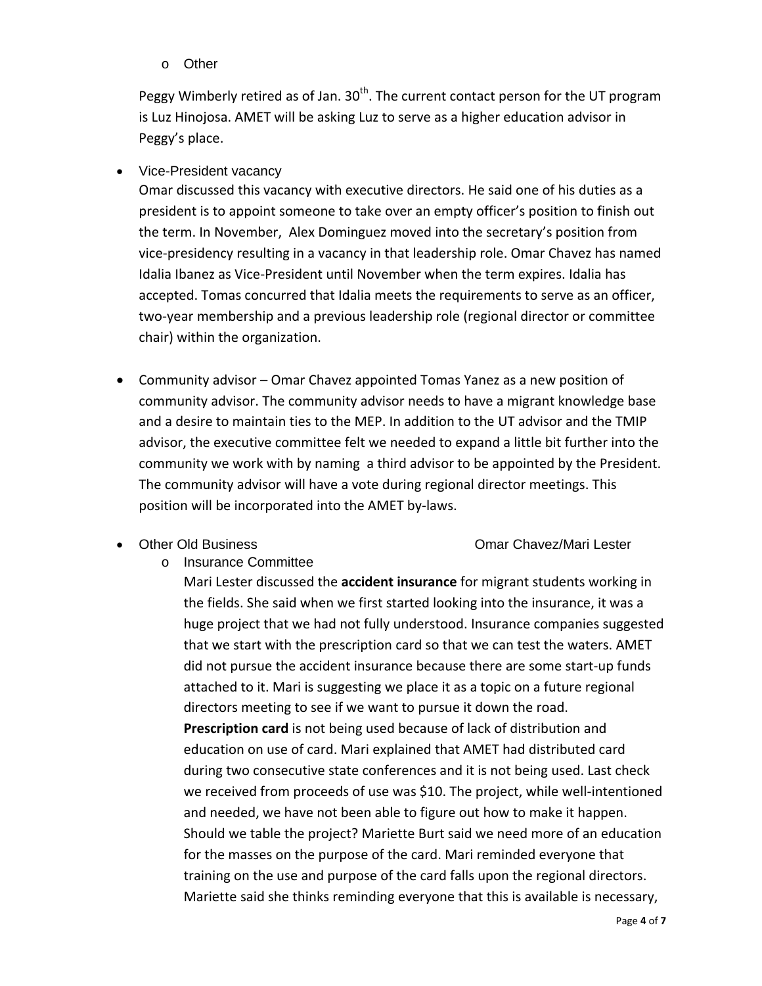o Other

Peggy Wimberly retired as of Jan.  $30<sup>th</sup>$ . The current contact person for the UT program is Luz Hinojosa. AMET will be asking Luz to serve as a higher education advisor in Peggy's place.

• Vice-President vacancy

Omar discussed this vacancy with executive directors. He said one of his duties as a president is to appoint someone to take over an empty officer's position to finish out the term. In November, Alex Dominguez moved into the secretary's position from vice‐presidency resulting in a vacancy in that leadership role. Omar Chavez has named Idalia Ibanez as Vice‐President until November when the term expires. Idalia has accepted. Tomas concurred that Idalia meets the requirements to serve as an officer, two‐year membership and a previous leadership role (regional director or committee chair) within the organization.

- Community advisor Omar Chavez appointed Tomas Yanez as a new position of community advisor. The community advisor needs to have a migrant knowledge base and a desire to maintain ties to the MEP. In addition to the UT advisor and the TMIP advisor, the executive committee felt we needed to expand a little bit further into the community we work with by naming a third advisor to be appointed by the President. The community advisor will have a vote during regional director meetings. This position will be incorporated into the AMET by‐laws.
- 

#### • Other Old Business Chavez/Mari Lester

o Insurance Committee

Mari Lester discussed the **accident insurance** for migrant students working in the fields. She said when we first started looking into the insurance, it was a huge project that we had not fully understood. Insurance companies suggested that we start with the prescription card so that we can test the waters. AMET did not pursue the accident insurance because there are some start‐up funds attached to it. Mari is suggesting we place it as a topic on a future regional directors meeting to see if we want to pursue it down the road. **Prescription card** is not being used because of lack of distribution and

education on use of card. Mari explained that AMET had distributed card during two consecutive state conferences and it is not being used. Last check we received from proceeds of use was \$10. The project, while well‐intentioned and needed, we have not been able to figure out how to make it happen. Should we table the project? Mariette Burt said we need more of an education for the masses on the purpose of the card. Mari reminded everyone that training on the use and purpose of the card falls upon the regional directors. Mariette said she thinks reminding everyone that this is available is necessary,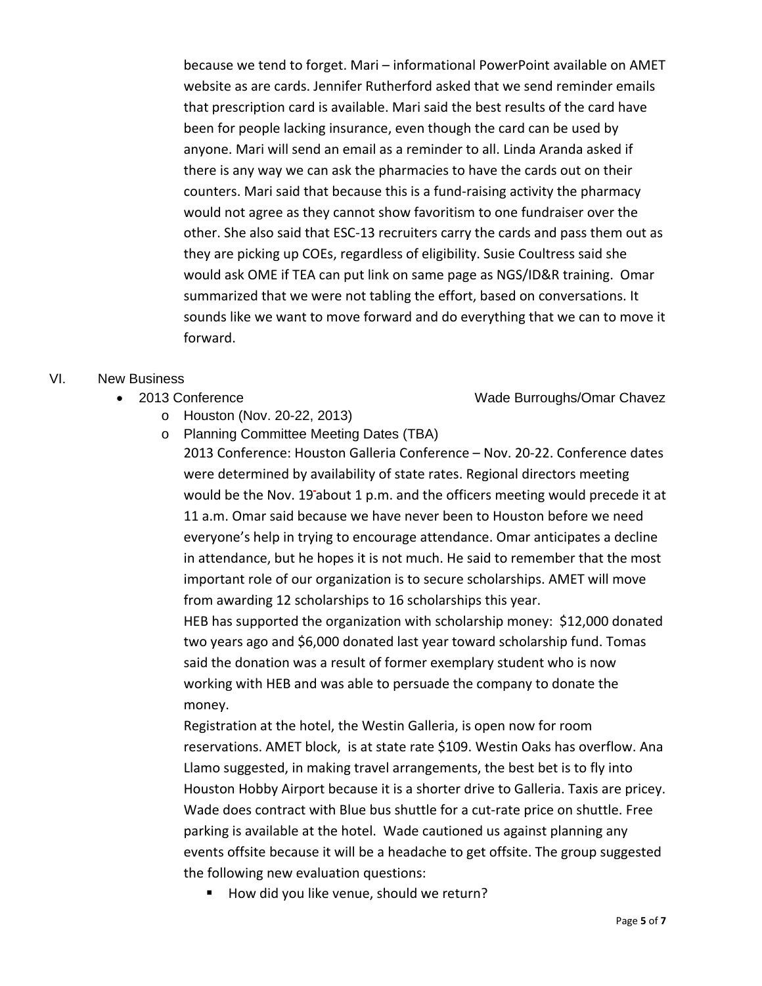because we tend to forget. Mari – informational PowerPoint available on AMET website as are cards. Jennifer Rutherford asked that we send reminder emails that prescription card is available. Mari said the best results of the card have been for people lacking insurance, even though the card can be used by anyone. Mari will send an email as a reminder to all. Linda Aranda asked if there is any way we can ask the pharmacies to have the cards out on their counters. Mari said that because this is a fund‐raising activity the pharmacy would not agree as they cannot show favoritism to one fundraiser over the other. She also said that ESC‐13 recruiters carry the cards and pass them out as they are picking up COEs, regardless of eligibility. Susie Coultress said she would ask OME if TEA can put link on same page as NGS/ID&R training. Omar summarized that we were not tabling the effort, based on conversations. It sounds like we want to move forward and do everything that we can to move it forward.

## VI. New Business

- - o Houston (Nov. 20-22, 2013)
	- o Planning Committee Meeting Dates (TBA)

2013 Conference: Houston Galleria Conference – Nov. 20‐22. Conference dates were determined by availability of state rates. Regional directors meeting would be the Nov. 19 about 1 p.m. and the officers meeting would precede it at 11 a.m. Omar said because we have never been to Houston before we need everyone's help in trying to encourage attendance. Omar anticipates a decline in attendance, but he hopes it is not much. He said to remember that the most important role of our organization is to secure scholarships. AMET will move from awarding 12 scholarships to 16 scholarships this year.

HEB has supported the organization with scholarship money: \$12,000 donated two years ago and \$6,000 donated last year toward scholarship fund. Tomas said the donation was a result of former exemplary student who is now working with HEB and was able to persuade the company to donate the money.

Registration at the hotel, the Westin Galleria, is open now for room reservations. AMET block, is at state rate \$109. Westin Oaks has overflow. Ana Llamo suggested, in making travel arrangements, the best bet is to fly into Houston Hobby Airport because it is a shorter drive to Galleria. Taxis are pricey. Wade does contract with Blue bus shuttle for a cut-rate price on shuttle. Free parking is available at the hotel. Wade cautioned us against planning any events offsite because it will be a headache to get offsite. The group suggested the following new evaluation questions:

How did you like venue, should we return?

#### Page **5** of **7**

• 2013 Conference **Wade Burroughs/Omar Chavez**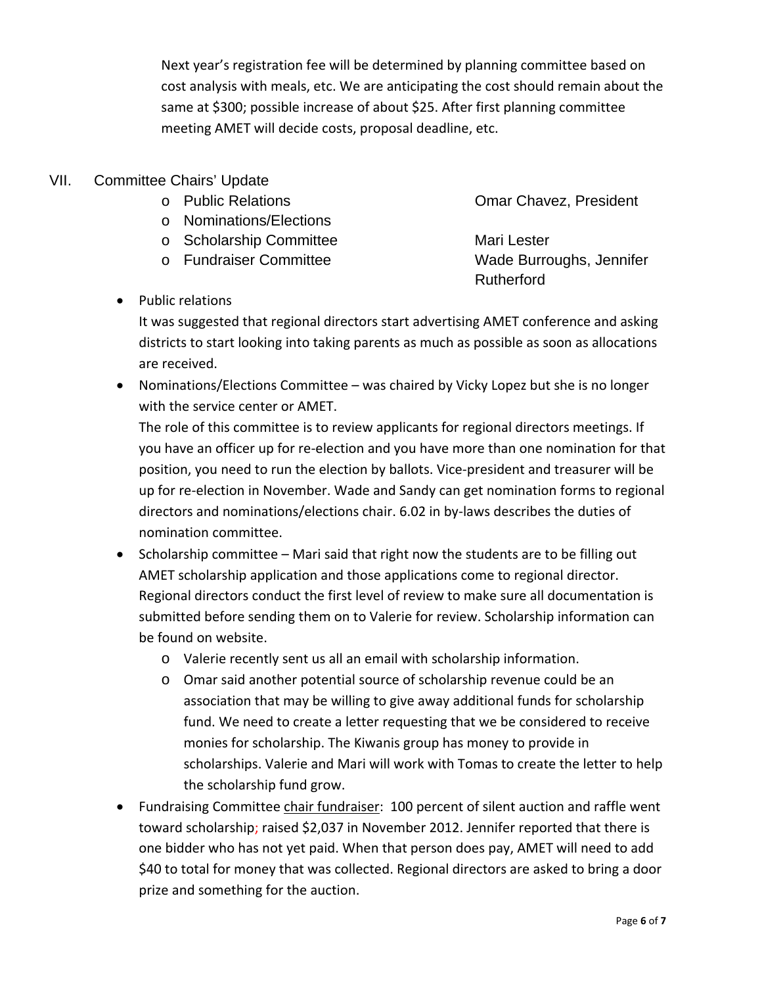Next year's registration fee will be determined by planning committee based on cost analysis with meals, etc. We are anticipating the cost should remain about the same at \$300; possible increase of about \$25. After first planning committee meeting AMET will decide costs, proposal deadline, etc.

# VII. Committee Chairs' Update

- 
- o Nominations/Elections
- o Scholarship Committee Mari Lester
- 
- Public relations

o Public Relations Omar Chavez, President

o Fundraiser Committee Wade Burroughs, Jennifer Rutherford

It was suggested that regional directors start advertising AMET conference and asking districts to start looking into taking parents as much as possible as soon as allocations are received.

 Nominations/Elections Committee – was chaired by Vicky Lopez but she is no longer with the service center or AMET.

The role of this committee is to review applicants for regional directors meetings. If you have an officer up for re‐election and you have more than one nomination for that position, you need to run the election by ballots. Vice‐president and treasurer will be up for re‐election in November. Wade and Sandy can get nomination forms to regional directors and nominations/elections chair. 6.02 in by‐laws describes the duties of nomination committee.

- Scholarship committee Mari said that right now the students are to be filling out AMET scholarship application and those applications come to regional director. Regional directors conduct the first level of review to make sure all documentation is submitted before sending them on to Valerie for review. Scholarship information can be found on website.
	- o Valerie recently sent us all an email with scholarship information.
	- o Omar said another potential source of scholarship revenue could be an association that may be willing to give away additional funds for scholarship fund. We need to create a letter requesting that we be considered to receive monies for scholarship. The Kiwanis group has money to provide in scholarships. Valerie and Mari will work with Tomas to create the letter to help the scholarship fund grow.
- Fundraising Committee chair fundraiser: 100 percent of silent auction and raffle went toward scholarship; raised \$2,037 in November 2012. Jennifer reported that there is one bidder who has not yet paid. When that person does pay, AMET will need to add \$40 to total for money that was collected. Regional directors are asked to bring a door prize and something for the auction.